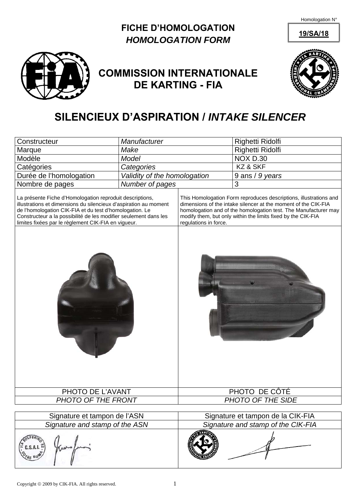Homologation N°

#### **FICHE D'HOMOLOGATION** 19/SA/18 *HOMOLOGATION FORM*



## **COMMISSION INTERNATIONALE DE KARTING - FIA**



# **SILENCIEUX D'ASPIRATION /** *INTAKE SILENCER*

| Constructeur                                                                                                                                                                                                                                                                                                                          | Manufacturer                 |                                                                                                                                                                                                                                                                                                 | Righetti Ridolfi                   |  |
|---------------------------------------------------------------------------------------------------------------------------------------------------------------------------------------------------------------------------------------------------------------------------------------------------------------------------------------|------------------------------|-------------------------------------------------------------------------------------------------------------------------------------------------------------------------------------------------------------------------------------------------------------------------------------------------|------------------------------------|--|
| Marque                                                                                                                                                                                                                                                                                                                                | Make                         |                                                                                                                                                                                                                                                                                                 | Righetti Ridolfi                   |  |
| Modèle                                                                                                                                                                                                                                                                                                                                | <b>Model</b>                 |                                                                                                                                                                                                                                                                                                 | <b>NOX D.30</b>                    |  |
| Catégories                                                                                                                                                                                                                                                                                                                            | Categories                   |                                                                                                                                                                                                                                                                                                 | KZ & SKF                           |  |
| Durée de l'homologation                                                                                                                                                                                                                                                                                                               | Validity of the homologation |                                                                                                                                                                                                                                                                                                 | 9 ans / 9 years                    |  |
|                                                                                                                                                                                                                                                                                                                                       | Number of pages              |                                                                                                                                                                                                                                                                                                 | 3                                  |  |
| Nombre de pages<br>La présente Fiche d'Homologation reproduit descriptions,<br>illustrations et dimensions du silencieux d'aspiration au moment<br>de l'homologation CIK-FIA et du test d'homologation. Le<br>Constructeur a la possibilité de les modifier seulement dans les<br>limites fixées par le règlement CIK-FIA en vigueur. |                              | This Homologation Form reproduces descriptions, illustrations and<br>dimensions of the intake silencer at the moment of the CIK-FIA<br>homologation and of the homologation test. The Manufacturer may<br>modify them, but only within the limits fixed by the CIK-FIA<br>regulations in force. |                                    |  |
| PHOTO DE L'AVANT<br>PHOTO OF THE FRONT                                                                                                                                                                                                                                                                                                |                              | PHOTO DE CÔTÉ<br>PHOTO OF THE SIDE                                                                                                                                                                                                                                                              |                                    |  |
|                                                                                                                                                                                                                                                                                                                                       |                              |                                                                                                                                                                                                                                                                                                 |                                    |  |
| Signature et tampon de l'ASN                                                                                                                                                                                                                                                                                                          |                              |                                                                                                                                                                                                                                                                                                 | Signature et tampon de la CIK-FIA  |  |
| Signature and stamp of the ASN                                                                                                                                                                                                                                                                                                        |                              |                                                                                                                                                                                                                                                                                                 | Signature and stamp of the CIK-FIA |  |
|                                                                                                                                                                                                                                                                                                                                       |                              |                                                                                                                                                                                                                                                                                                 |                                    |  |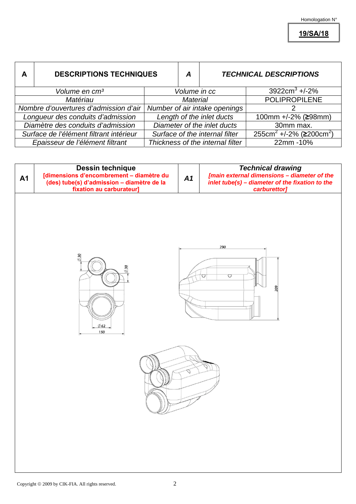**19/SA/18**

| A                                       | <b>DESCRIPTIONS TECHNIQUES</b> |                                  | A | <b>TECHNICAL DESCRIPTIONS</b>                          |
|-----------------------------------------|--------------------------------|----------------------------------|---|--------------------------------------------------------|
|                                         | Volume en cm <sup>3</sup>      | Volume in cc                     |   | $3922$ cm <sup>3</sup> +/-2%                           |
| Matériau                                |                                | <b>Material</b>                  |   | <b>POLIPROPILENE</b>                                   |
| Nombre d'ouvertures d'admission d'air   |                                | Number of air intake openings    |   |                                                        |
| Longueur des conduits d'admission       |                                | Length of the inlet ducts        |   | 100mm +/-2% (≥98mm)                                    |
| Diamètre des conduits d'admission       |                                | Diameter of the inlet ducts      |   | 30mm max.                                              |
| Surface de l'élément filtrant intérieur |                                | Surface of the internal filter   |   | 255cm <sup>2</sup> +/-2% ( $\geq$ 200cm <sup>2</sup> ) |
| Epaisseur de l'élément filtrant         |                                | Thickness of the internal filter |   | 22mm-10%                                               |

| <b>A1</b> | Dessin technique<br>[dimensions d'encombrement – diamètre du<br>(des) tube(s) d'admission – diamètre de la<br>fixation au carburateur] | A1 | <b>Technical drawing</b><br>[main external dimensions - diameter of the<br>$\ddot{i}$ nlet tube(s) - diameter of the fixation to the<br>carburettor] |
|-----------|----------------------------------------------------------------------------------------------------------------------------------------|----|------------------------------------------------------------------------------------------------------------------------------------------------------|
|           | $\oslash$ 30<br>$\varnothing$ 30<br>$\emptyset$ 62<br>150                                                                              |    | 290<br>$\bigcirc$<br>U<br>209                                                                                                                        |
|           |                                                                                                                                        |    |                                                                                                                                                      |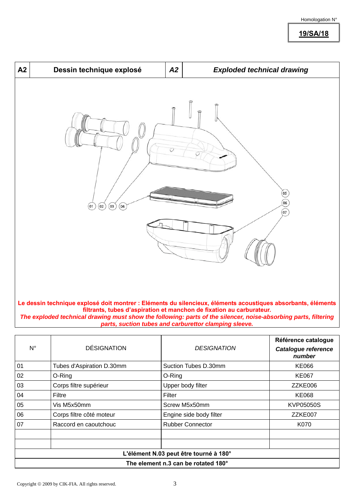**19/SA/18**



*The exploded technical drawing must show the following: parts of the silencer, noise-absorbing parts, filtering parts, suction tubes and carburettor clamping sleeve.*

| $N^{\circ}$                            | <b>DÉSIGNATION</b>        | <b>DESIGNATION</b>      | Référence catalogue<br>Catalogue reference<br>number |  |  |
|----------------------------------------|---------------------------|-------------------------|------------------------------------------------------|--|--|
| 01                                     | Tubes d'Aspiration D.30mm | Suction Tubes D.30mm    | KE066                                                |  |  |
| 02                                     | O-Ring                    | O-Ring                  | <b>KE067</b>                                         |  |  |
| 03                                     | Corps filtre supérieur    | Upper body filter       | ZZKE006                                              |  |  |
| 04                                     | Filtre                    | Filter                  | <b>KE068</b>                                         |  |  |
| 05                                     | Vis M5x50mm               | Screw M5x50mm           | KVP05050S                                            |  |  |
| 06                                     | Corps filtre côté moteur  | Engine side body filter | ZZKE007                                              |  |  |
| 07                                     | Raccord en caoutchouc     | <b>Rubber Connector</b> | K070                                                 |  |  |
|                                        |                           |                         |                                                      |  |  |
|                                        |                           |                         |                                                      |  |  |
| L'élément N.03 peut être tourné à 180° |                           |                         |                                                      |  |  |
| The element n.3 can be rotated 180°    |                           |                         |                                                      |  |  |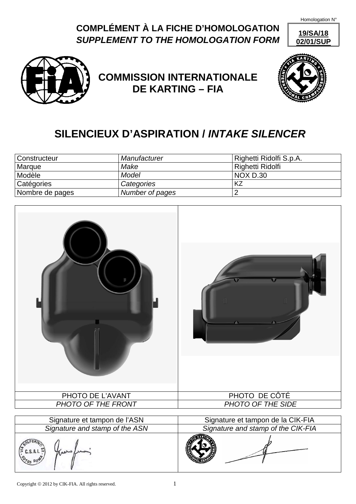Homologation N°

### **COMPLÉMENT À LA FICHE D'HOMOLOGATION** *SUPPLEMENT TO THE HOMOLOGATION FORM*





## **COMMISSION INTERNATIONALE DE KARTING – FIA**



# **SILENCIEUX D'ASPIRATION /** *INTAKE SILENCER*

| Constructeur    | Manufacturer    | Righetti Ridolfi S.p.A. |
|-----------------|-----------------|-------------------------|
| Marque          | Make            | Righetti Ridolfi        |
| Modèle          | Model           | <b>NOX D.30</b>         |
| Catégories      | Categories      |                         |
| Nombre de pages | Number of pages |                         |